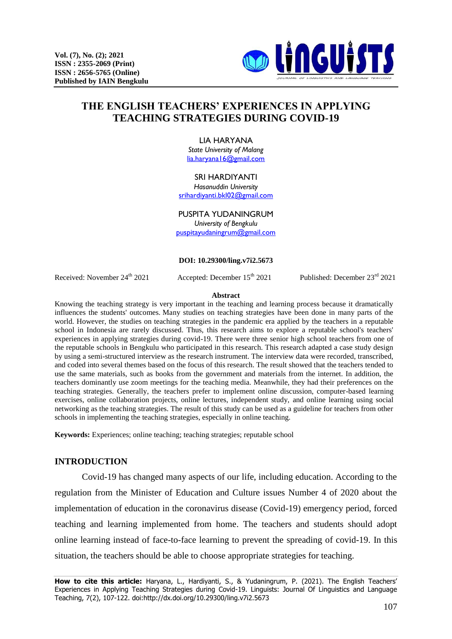

# **THE ENGLISH TEACHERS' EXPERIENCES IN APPLYING TEACHING STRATEGIES DURING COVID-19**

#### LIA HARYANA

*State University of Malang* [lia.haryana16@gmail.com](mailto:lia.haryana16@gmail.com)

#### SRI HARDIYANTI

*Hasanuddin University* [srihardiyanti.bkl02@gmail.com](mailto:srihardiyanti.bkl02@gmail.com)

#### PUSPITA YUDANINGRUM

*University of Bengkulu* [puspitayudaningrum@gmail.com](mailto:puspitayudaningrum@gmail.com)

#### **DOI: [10.29300/ling.v7i2.56](http://dx.doi.org/10.29300/ling.v7i1.4075)73**

Received: November 24<sup>th</sup> 2021 Accepted: December 15<sup>th</sup> 2021 Published: December 23<sup>rd</sup> 2021

#### **Abstract**

Knowing the teaching strategy is very important in the teaching and learning process because it dramatically influences the students' outcomes. Many studies on teaching strategies have been done in many parts of the world. However, the studies on teaching strategies in the pandemic era applied by the teachers in a reputable school in Indonesia are rarely discussed. Thus, this research aims to explore a reputable school's teachers' experiences in applying strategies during covid-19. There were three senior high school teachers from one of the reputable schools in Bengkulu who participated in this research. This research adapted a case study design by using a semi-structured interview as the research instrument. The interview data were recorded, transcribed, and coded into several themes based on the focus of this research. The result showed that the teachers tended to use the same materials, such as books from the government and materials from the internet. In addition, the teachers dominantly use zoom meetings for the teaching media. Meanwhile, they had their preferences on the teaching strategies. Generally, the teachers prefer to implement online discussion, computer-based learning exercises, online collaboration projects, online lectures, independent study, and online learning using social networking as the teaching strategies. The result of this study can be used as a guideline for teachers from other schools in implementing the teaching strategies, especially in online teaching.

**Keywords:** Experiences; online teaching; teaching strategies; reputable school

### **INTRODUCTION**

Covid-19 has changed many aspects of our life, including education. According to the regulation from the Minister of Education and Culture issues Number 4 of 2020 about the implementation of education in the coronavirus disease (Covid-19) emergency period, forced teaching and learning implemented from home. The teachers and students should adopt online learning instead of face-to-face learning to prevent the spreading of covid-19. In this situation, the teachers should be able to choose appropriate strategies for teaching.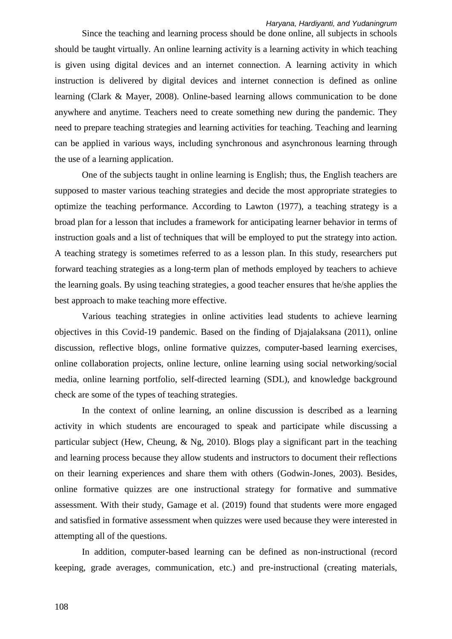Since the teaching and learning process should be done online, all subjects in schools should be taught virtually. An online learning activity is a learning activity in which teaching is given using digital devices and an internet connection. A learning activity in which instruction is delivered by digital devices and internet connection is defined as online learning (Clark & Mayer, 2008). Online-based learning allows communication to be done anywhere and anytime. Teachers need to create something new during the pandemic. They need to prepare teaching strategies and learning activities for teaching. Teaching and learning can be applied in various ways, including synchronous and asynchronous learning through the use of a learning application.

One of the subjects taught in online learning is English; thus, the English teachers are supposed to master various teaching strategies and decide the most appropriate strategies to optimize the teaching performance. According to Lawton (1977), a teaching strategy is a broad plan for a lesson that includes a framework for anticipating learner behavior in terms of instruction goals and a list of techniques that will be employed to put the strategy into action. A teaching strategy is sometimes referred to as a lesson plan. In this study, researchers put forward teaching strategies as a long-term plan of methods employed by teachers to achieve the learning goals. By using teaching strategies, a good teacher ensures that he/she applies the best approach to make teaching more effective.

Various teaching strategies in online activities lead students to achieve learning objectives in this Covid-19 pandemic. Based on the finding of Djajalaksana (2011), online discussion, reflective blogs, online formative quizzes, computer-based learning exercises, online collaboration projects, online lecture, online learning using social networking/social media, online learning portfolio, self-directed learning (SDL), and knowledge background check are some of the types of teaching strategies.

In the context of online learning, an online discussion is described as a learning activity in which students are encouraged to speak and participate while discussing a particular subject (Hew, Cheung, & Ng, 2010). Blogs play a significant part in the teaching and learning process because they allow students and instructors to document their reflections on their learning experiences and share them with others (Godwin-Jones, 2003). Besides, online formative quizzes are one instructional strategy for formative and summative assessment. With their study, Gamage et al. (2019) found that students were more engaged and satisfied in formative assessment when quizzes were used because they were interested in attempting all of the questions.

In addition, computer-based learning can be defined as non-instructional (record keeping, grade averages, communication, etc.) and pre-instructional (creating materials,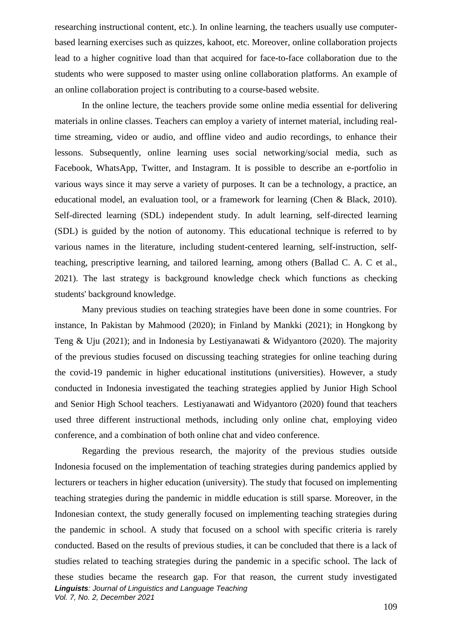researching instructional content, etc.). In online learning, the teachers usually use computerbased learning exercises such as quizzes, kahoot, etc. Moreover, online collaboration projects lead to a higher cognitive load than that acquired for face-to-face collaboration due to the students who were supposed to master using online collaboration platforms. An example of an online collaboration project is contributing to a course-based website.

In the online lecture, the teachers provide some online media essential for delivering materials in online classes. Teachers can employ a variety of internet material, including realtime streaming, video or audio, and offline video and audio recordings, to enhance their lessons. Subsequently, online learning uses social networking/social media, such as Facebook, WhatsApp, Twitter, and Instagram. It is possible to describe an e-portfolio in various ways since it may serve a variety of purposes. It can be a technology, a practice, an educational model, an evaluation tool, or a framework for learning (Chen & Black, 2010). Self-directed learning (SDL) independent study. In adult learning, self-directed learning (SDL) is guided by the notion of autonomy. This educational technique is referred to by various names in the literature, including student-centered learning, self-instruction, selfteaching, prescriptive learning, and tailored learning, among others (Ballad C. A. C et al., 2021). The last strategy is background knowledge check which functions as checking students' background knowledge.

Many previous studies on teaching strategies have been done in some countries. For instance, In Pakistan by Mahmood (2020); in Finland by Mankki (2021); in Hongkong by Teng & Uju (2021); and in Indonesia by Lestiyanawati & Widyantoro (2020). The majority of the previous studies focused on discussing teaching strategies for online teaching during the covid-19 pandemic in higher educational institutions (universities). However, a study conducted in Indonesia investigated the teaching strategies applied by Junior High School and Senior High School teachers. Lestiyanawati and Widyantoro (2020) found that teachers used three different instructional methods, including only online chat, employing video conference, and a combination of both online chat and video conference.

*Linguists: Journal of Linguistics and Language Teaching Vol. 7, No. 2, December 2021* Regarding the previous research, the majority of the previous studies outside Indonesia focused on the implementation of teaching strategies during pandemics applied by lecturers or teachers in higher education (university). The study that focused on implementing teaching strategies during the pandemic in middle education is still sparse. Moreover, in the Indonesian context, the study generally focused on implementing teaching strategies during the pandemic in school. A study that focused on a school with specific criteria is rarely conducted. Based on the results of previous studies, it can be concluded that there is a lack of studies related to teaching strategies during the pandemic in a specific school. The lack of these studies became the research gap. For that reason, the current study investigated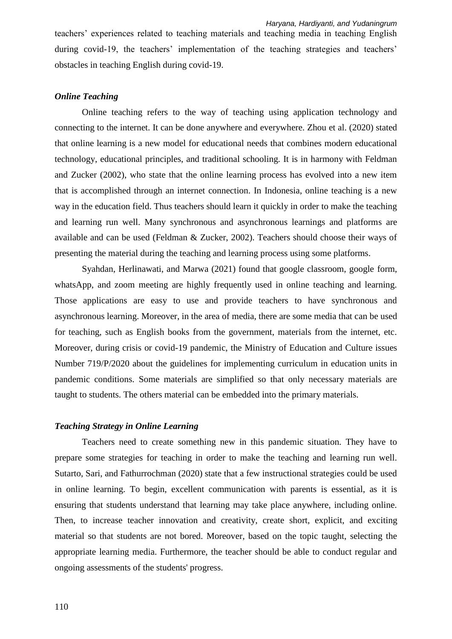teachers' experiences related to teaching materials and teaching media in teaching English during covid-19, the teachers' implementation of the teaching strategies and teachers' obstacles in teaching English during covid-19.

# *Online Teaching*

Online teaching refers to the way of teaching using application technology and connecting to the internet. It can be done anywhere and everywhere. Zhou et al. (2020) stated that online learning is a new model for educational needs that combines modern educational technology, educational principles, and traditional schooling. It is in harmony with Feldman and Zucker (2002), who state that the online learning process has evolved into a new item that is accomplished through an internet connection. In Indonesia, online teaching is a new way in the education field. Thus teachers should learn it quickly in order to make the teaching and learning run well. Many synchronous and asynchronous learnings and platforms are available and can be used (Feldman & Zucker, 2002). Teachers should choose their ways of presenting the material during the teaching and learning process using some platforms.

Syahdan, Herlinawati, and Marwa (2021) found that google classroom, google form, whatsApp, and zoom meeting are highly frequently used in online teaching and learning. Those applications are easy to use and provide teachers to have synchronous and asynchronous learning. Moreover, in the area of media, there are some media that can be used for teaching, such as English books from the government, materials from the internet, etc. Moreover, during crisis or covid-19 pandemic, the Ministry of Education and Culture issues Number 719/P/2020 about the guidelines for implementing curriculum in education units in pandemic conditions. Some materials are simplified so that only necessary materials are taught to students. The others material can be embedded into the primary materials.

### *Teaching Strategy in Online Learning*

Teachers need to create something new in this pandemic situation. They have to prepare some strategies for teaching in order to make the teaching and learning run well. Sutarto, Sari, and Fathurrochman (2020) state that a few instructional strategies could be used in online learning. To begin, excellent communication with parents is essential, as it is ensuring that students understand that learning may take place anywhere, including online. Then, to increase teacher innovation and creativity, create short, explicit, and exciting material so that students are not bored. Moreover, based on the topic taught, selecting the appropriate learning media. Furthermore, the teacher should be able to conduct regular and ongoing assessments of the students' progress.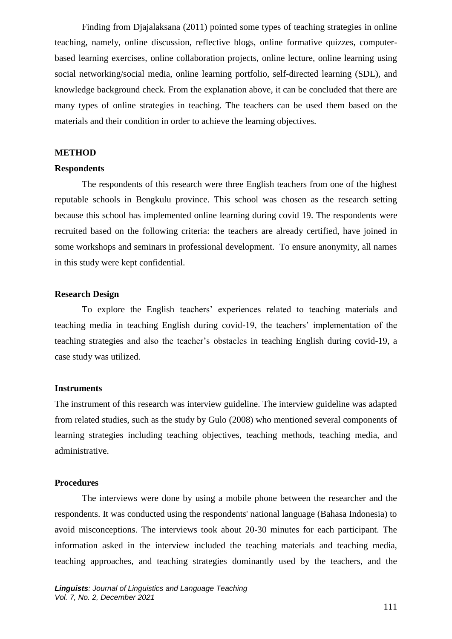Finding from Djajalaksana (2011) pointed some types of teaching strategies in online teaching, namely, online discussion, reflective blogs, online formative quizzes, computerbased learning exercises, online collaboration projects, online lecture, online learning using social networking/social media, online learning portfolio, self-directed learning (SDL), and knowledge background check. From the explanation above, it can be concluded that there are many types of online strategies in teaching. The teachers can be used them based on the materials and their condition in order to achieve the learning objectives.

### **METHOD**

#### **Respondents**

The respondents of this research were three English teachers from one of the highest reputable schools in Bengkulu province. This school was chosen as the research setting because this school has implemented online learning during covid 19. The respondents were recruited based on the following criteria: the teachers are already certified, have joined in some workshops and seminars in professional development. To ensure anonymity, all names in this study were kept confidential.

### **Research Design**

To explore the English teachers' experiences related to teaching materials and teaching media in teaching English during covid-19, the teachers' implementation of the teaching strategies and also the teacher's obstacles in teaching English during covid-19, a case study was utilized.

# **Instruments**

The instrument of this research was interview guideline. The interview guideline was adapted from related studies, such as the study by Gulo (2008) who mentioned several components of learning strategies including teaching objectives, teaching methods, teaching media, and administrative.

### **Procedures**

The interviews were done by using a mobile phone between the researcher and the respondents. It was conducted using the respondents' national language (Bahasa Indonesia) to avoid misconceptions. The interviews took about 20-30 minutes for each participant. The information asked in the interview included the teaching materials and teaching media, teaching approaches, and teaching strategies dominantly used by the teachers, and the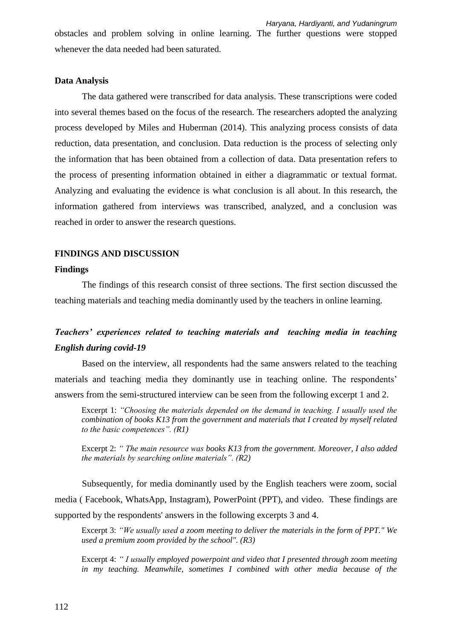obstacles and problem solving in online learning. The further questions were stopped whenever the data needed had been saturated.

### **Data Analysis**

The data gathered were transcribed for data analysis. These transcriptions were coded into several themes based on the focus of the research. The researchers adopted the analyzing process developed by Miles and Huberman (2014). This analyzing process consists of data reduction, data presentation, and conclusion. Data reduction is the process of selecting only the information that has been obtained from a collection of data. Data presentation refers to the process of presenting information obtained in either a diagrammatic or textual format. Analyzing and evaluating the evidence is what conclusion is all about. In this research, the information gathered from interviews was transcribed, analyzed, and a conclusion was reached in order to answer the research questions.

# **FINDINGS AND DISCUSSION**

### **Findings**

The findings of this research consist of three sections. The first section discussed the teaching materials and teaching media dominantly used by the teachers in online learning.

# *Teachers' experiences related to teaching materials and teaching media in teaching English during covid-19*

Based on the interview, all respondents had the same answers related to the teaching materials and teaching media they dominantly use in teaching online. The respondents' answers from the semi-structured interview can be seen from the following excerpt 1 and 2.

Excerpt 1: *"Choosing the materials depended on the demand in teaching. I usually used the combination of books K13 from the government and materials that I created by myself related to the basic competences". (R1)*

Excerpt 2: *" The main resource was books K13 from the government. Moreover, I also added the materials by searching online materials". (R2)*

Subsequently, for media dominantly used by the English teachers were zoom, social media ( Facebook, WhatsApp, Instagram), PowerPoint (PPT), and video. These findings are supported by the respondents' answers in the following excerpts 3 and 4.

Excerpt 3: *"We usually used a zoom meeting to deliver the materials in the form of PPT." We used a premium zoom provided by the school". (R3)*

Excerpt 4: *" I usually employed powerpoint and video that I presented through zoom meeting in my teaching. Meanwhile, sometimes I combined with other media because of the*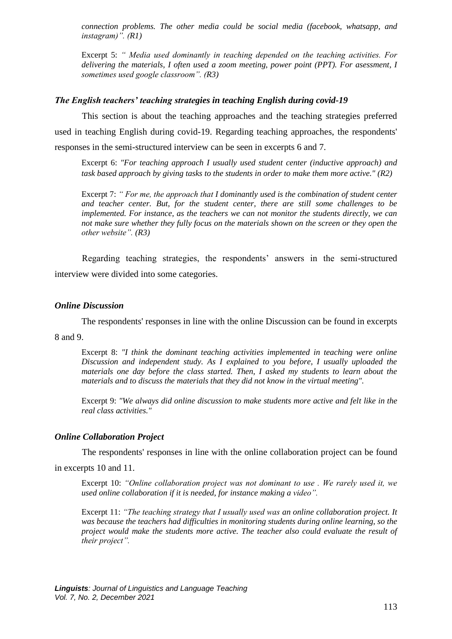*connection problems. The other media could be social media (facebook, whatsapp, and instagram)". (R1)*

Excerpt 5: *" Media used dominantly in teaching depended on the teaching activities. For delivering the materials, I often used a zoom meeting, power point (PPT). For asessment, I sometimes used google classroom". (R3)*

# *The English teachers' teaching strategies in teaching English during covid-19*

This section is about the teaching approaches and the teaching strategies preferred used in teaching English during covid-19. Regarding teaching approaches, the respondents' responses in the semi-structured interview can be seen in excerpts 6 and 7.

Excerpt 6: *"For teaching approach I usually used student center (inductive approach) and task based approach by giving tasks to the students in order to make them more active." (R2)*

Excerpt 7: *" For me, the approach that I dominantly used is the combination of student center and teacher center. But, for the student center, there are still some challenges to be implemented. For instance, as the teachers we can not monitor the students directly, we can not make sure whether they fully focus on the materials shown on the screen or they open the other website". (R3)*

Regarding teaching strategies, the respondents' answers in the semi-structured interview were divided into some categories.

### *Online Discussion*

The respondents' responses in line with the online Discussion can be found in excerpts

8 and 9.

Excerpt 8: *"I think the dominant teaching activities implemented in teaching were online Discussion and independent study. As I explained to you before, I usually uploaded the materials one day before the class started. Then, I asked my students to learn about the materials and to discuss the materials that they did not know in the virtual meeting".*

Excerpt 9: *"We always did online discussion to make students more active and felt like in the real class activities."*

### *Online Collaboration Project*

The respondents' responses in line with the online collaboration project can be found

in excerpts 10 and 11.

Excerpt 10: *"Online collaboration project was not dominant to use . We rarely used it, we used online collaboration if it is needed, for instance making a video".*

Excerpt 11: *"The teaching strategy that I usually used was an online collaboration project. It was because the teachers had difficulties in monitoring students during online learning, so the project would make the students more active. The teacher also could evaluate the result of their project".*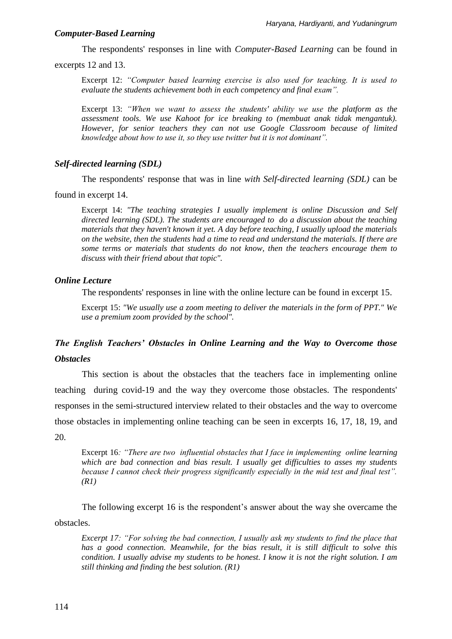### *Computer-Based Learning*

The respondents' responses in line with *Computer-Based Learning* can be found in

excerpts 12 and 13.

Excerpt 12: *"Computer based learning exercise is also used for teaching. It is used to evaluate the students achievement both in each competency and final exam".*

Excerpt 13: *"When we want to assess the students' ability we use the platform as the assessment tools. We use Kahoot for ice breaking to (membuat anak tidak mengantuk). However, for senior teachers they can not use Google Classroom because of limited knowledge about how to use it, so they use twitter but it is not dominant".* 

# *Self-directed learning (SDL)*

The respondents' response that was in line *with Self-directed learning (SDL)* can be

found in excerpt 14.

Excerpt 14: *"The teaching strategies I usually implement is online Discussion and Self directed learning (SDL). The students are encouraged to do a discussion about the teaching materials that they haven't known it yet. A day before teaching, I usually upload the materials on the website, then the students had a time to read and understand the materials. If there are some terms or materials that students do not know, then the teachers encourage them to discuss with their friend about that topic".*

# *Online Lecture*

The respondents' responses in line with the online lecture can be found in excerpt 15.

Excerpt 15: *"We usually use a zoom meeting to deliver the materials in the form of PPT." We use a premium zoom provided by the school".*

# *The English Teachers' Obstacles in Online Learning and the Way to Overcome those Obstacles*

This section is about the obstacles that the teachers face in implementing online teaching during covid-19 and the way they overcome those obstacles. The respondents' responses in the semi-structured interview related to their obstacles and the way to overcome those obstacles in implementing online teaching can be seen in excerpts 16, 17, 18, 19, and

20.

Excerpt 16*: "There are two influential obstacles that I face in implementing online learning which are bad connection and bias result. I usually get difficulties to asses my students because I cannot check their progress significantly especially in the mid test and final test". (R1)*

The following excerpt 16 is the respondent's answer about the way she overcame the obstacles.

*Excerpt 17: "For solving the bad connection, I usually ask my students to find the place that has a good connection. Meanwhile, for the bias result, it is still difficult to solve this condition. I usually advise my students to be honest. I know it is not the right solution. I am still thinking and finding the best solution. (R1)*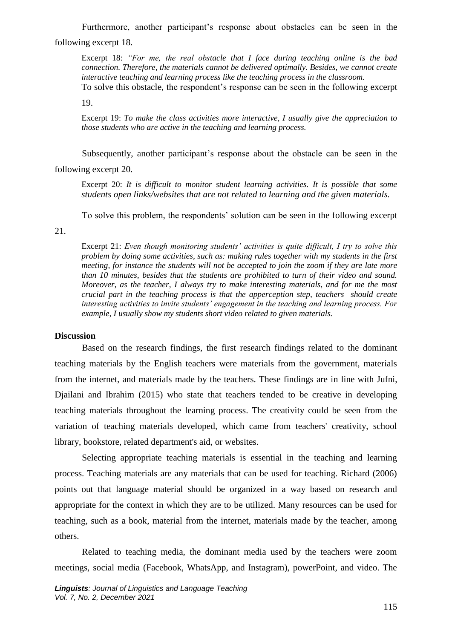Furthermore, another participant's response about obstacles can be seen in the following excerpt 18.

Excerpt 18: *"For me, the real obstacle that I face during teaching online is the bad connection. Therefore, the materials cannot be delivered optimally. Besides, we cannot create interactive teaching and learning process like the teaching process in the classroom.* 

To solve this obstacle, the respondent's response can be seen in the following excerpt

19.

Excerpt 19: *To make the class activities more interactive, I usually give the appreciation to those students who are active in the teaching and learning process.* 

Subsequently, another participant's response about the obstacle can be seen in the

following excerpt 20.

Excerpt 20: *It is difficult to monitor student learning activities. It is possible that some students open links/websites that are not related to learning and the given materials.* 

To solve this problem, the respondents' solution can be seen in the following excerpt

21.

Excerpt 21: *Even though monitoring students' activities is quite difficult, I try to solve this problem by doing some activities, such as: making rules together with my students in the first meeting, for instance the students will not be accepted to join the zoom if they are late more than 10 minutes, besides that the students are prohibited to turn of their video and sound. Moreover, as the teacher, I always try to make interesting materials, and for me the most crucial part in the teaching process is that the apperception step, teachers should create interesting activities to invite students' engagement in the teaching and learning process. For example, I usually show my students short video related to given materials.* 

# **Discussion**

Based on the research findings, the first research findings related to the dominant teaching materials by the English teachers were materials from the government, materials from the internet, and materials made by the teachers. These findings are in line with Jufni, Djailani and Ibrahim (2015) who state that teachers tended to be creative in developing teaching materials throughout the learning process. The creativity could be seen from the variation of teaching materials developed, which came from teachers' creativity, school library, bookstore, related department's aid, or websites.

Selecting appropriate teaching materials is essential in the teaching and learning process. Teaching materials are any materials that can be used for teaching. Richard (2006) points out that language material should be organized in a way based on research and appropriate for the context in which they are to be utilized. Many resources can be used for teaching, such as a book, material from the internet, materials made by the teacher, among others.

Related to teaching media, the dominant media used by the teachers were zoom meetings, social media (Facebook, WhatsApp, and Instagram), powerPoint, and video. The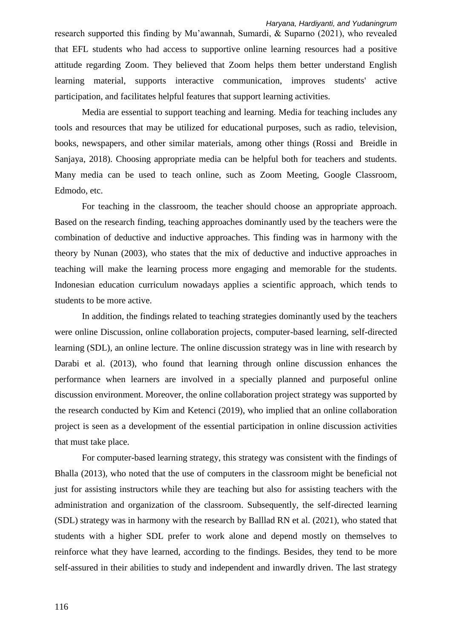research supported this finding by Mu'awannah, Sumardi, & Suparno (2021), who revealed that EFL students who had access to supportive online learning resources had a positive attitude regarding Zoom. They believed that Zoom helps them better understand English learning material, supports interactive communication, improves students' active participation, and facilitates helpful features that support learning activities.

Media are essential to support teaching and learning. Media for teaching includes any tools and resources that may be utilized for educational purposes, such as radio, television, books, newspapers, and other similar materials, among other things (Rossi and Breidle in Sanjaya, 2018). Choosing appropriate media can be helpful both for teachers and students. Many media can be used to teach online, such as Zoom Meeting, Google Classroom, Edmodo, etc.

For teaching in the classroom, the teacher should choose an appropriate approach. Based on the research finding, teaching approaches dominantly used by the teachers were the combination of deductive and inductive approaches. This finding was in harmony with the theory by Nunan (2003), who states that the mix of deductive and inductive approaches in teaching will make the learning process more engaging and memorable for the students. Indonesian education curriculum nowadays applies a scientific approach, which tends to students to be more active.

In addition, the findings related to teaching strategies dominantly used by the teachers were online Discussion, online collaboration projects, computer-based learning, self-directed learning (SDL), an online lecture. The online discussion strategy was in line with research by Darabi et al. (2013), who found that learning through online discussion enhances the performance when learners are involved in a specially planned and purposeful online discussion environment. Moreover, the online collaboration project strategy was supported by the research conducted by Kim and Ketenci (2019), who implied that an online collaboration project is seen as a development of the essential participation in online discussion activities that must take place.

For computer-based learning strategy, this strategy was consistent with the findings of Bhalla (2013), who noted that the use of computers in the classroom might be beneficial not just for assisting instructors while they are teaching but also for assisting teachers with the administration and organization of the classroom. Subsequently, the self-directed learning (SDL) strategy was in harmony with the research by Balllad RN et al. (2021), who stated that students with a higher SDL prefer to work alone and depend mostly on themselves to reinforce what they have learned, according to the findings. Besides, they tend to be more self-assured in their abilities to study and independent and inwardly driven. The last strategy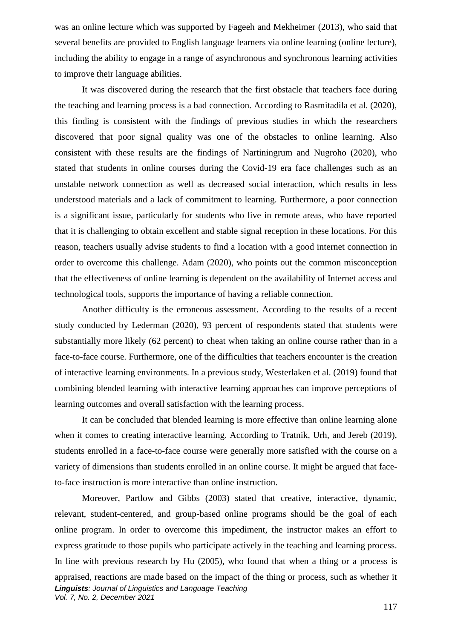was an online lecture which was supported by Fageeh and Mekheimer (2013), who said that several benefits are provided to English language learners via online learning (online lecture), including the ability to engage in a range of asynchronous and synchronous learning activities to improve their language abilities.

It was discovered during the research that the first obstacle that teachers face during the teaching and learning process is a bad connection. According to Rasmitadila et al. (2020), this finding is consistent with the findings of previous studies in which the researchers discovered that poor signal quality was one of the obstacles to online learning. Also consistent with these results are the findings of Nartiningrum and Nugroho (2020), who stated that students in online courses during the Covid-19 era face challenges such as an unstable network connection as well as decreased social interaction, which results in less understood materials and a lack of commitment to learning. Furthermore, a poor connection is a significant issue, particularly for students who live in remote areas, who have reported that it is challenging to obtain excellent and stable signal reception in these locations. For this reason, teachers usually advise students to find a location with a good internet connection in order to overcome this challenge. Adam (2020), who points out the common misconception that the effectiveness of online learning is dependent on the availability of Internet access and technological tools, supports the importance of having a reliable connection.

Another difficulty is the erroneous assessment. According to the results of a recent study conducted by Lederman (2020), 93 percent of respondents stated that students were substantially more likely (62 percent) to cheat when taking an online course rather than in a face-to-face course. Furthermore, one of the difficulties that teachers encounter is the creation of interactive learning environments. In a previous study, Westerlaken et al. (2019) found that combining blended learning with interactive learning approaches can improve perceptions of learning outcomes and overall satisfaction with the learning process.

It can be concluded that blended learning is more effective than online learning alone when it comes to creating interactive learning. According to Tratnik, Urh, and Jereb (2019), students enrolled in a face-to-face course were generally more satisfied with the course on a variety of dimensions than students enrolled in an online course. It might be argued that faceto-face instruction is more interactive than online instruction.

*Linguists: Journal of Linguistics and Language Teaching Vol. 7, No. 2, December 2021* Moreover, Partlow and Gibbs (2003) stated that creative, interactive, dynamic, relevant, student-centered, and group-based online programs should be the goal of each online program. In order to overcome this impediment, the instructor makes an effort to express gratitude to those pupils who participate actively in the teaching and learning process. In line with previous research by Hu (2005), who found that when a thing or a process is appraised, reactions are made based on the impact of the thing or process, such as whether it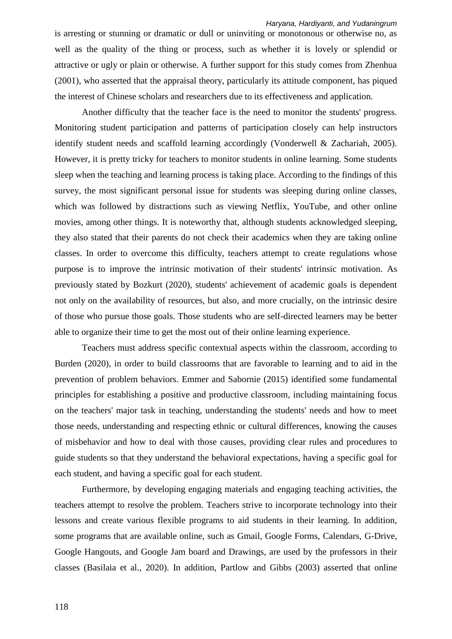is arresting or stunning or dramatic or dull or uninviting or monotonous or otherwise no, as well as the quality of the thing or process, such as whether it is lovely or splendid or attractive or ugly or plain or otherwise. A further support for this study comes from Zhenhua (2001), who asserted that the appraisal theory, particularly its attitude component, has piqued the interest of Chinese scholars and researchers due to its effectiveness and application.

Another difficulty that the teacher face is the need to monitor the students' progress. Monitoring student participation and patterns of participation closely can help instructors identify student needs and scaffold learning accordingly (Vonderwell & Zachariah, 2005). However, it is pretty tricky for teachers to monitor students in online learning. Some students sleep when the teaching and learning process is taking place. According to the findings of this survey, the most significant personal issue for students was sleeping during online classes, which was followed by distractions such as viewing Netflix, YouTube, and other online movies, among other things. It is noteworthy that, although students acknowledged sleeping, they also stated that their parents do not check their academics when they are taking online classes. In order to overcome this difficulty, teachers attempt to create regulations whose purpose is to improve the intrinsic motivation of their students' intrinsic motivation. As previously stated by Bozkurt (2020), students' achievement of academic goals is dependent not only on the availability of resources, but also, and more crucially, on the intrinsic desire of those who pursue those goals. Those students who are self-directed learners may be better able to organize their time to get the most out of their online learning experience.

Teachers must address specific contextual aspects within the classroom, according to Burden (2020), in order to build classrooms that are favorable to learning and to aid in the prevention of problem behaviors. Emmer and Sabornie (2015) identified some fundamental principles for establishing a positive and productive classroom, including maintaining focus on the teachers' major task in teaching, understanding the students' needs and how to meet those needs, understanding and respecting ethnic or cultural differences, knowing the causes of misbehavior and how to deal with those causes, providing clear rules and procedures to guide students so that they understand the behavioral expectations, having a specific goal for each student, and having a specific goal for each student.

Furthermore, by developing engaging materials and engaging teaching activities, the teachers attempt to resolve the problem. Teachers strive to incorporate technology into their lessons and create various flexible programs to aid students in their learning. In addition, some programs that are available online, such as Gmail, Google Forms, Calendars, G-Drive, Google Hangouts, and Google Jam board and Drawings, are used by the professors in their classes (Basilaia et al., 2020). In addition, Partlow and Gibbs (2003) asserted that online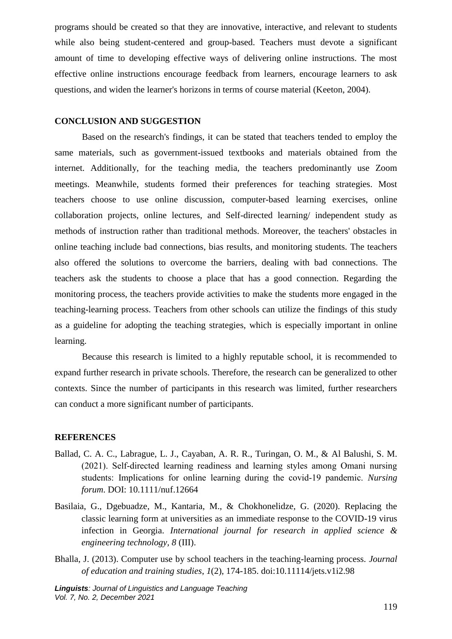programs should be created so that they are innovative, interactive, and relevant to students while also being student-centered and group-based. Teachers must devote a significant amount of time to developing effective ways of delivering online instructions. The most effective online instructions encourage feedback from learners, encourage learners to ask questions, and widen the learner's horizons in terms of course material (Keeton, 2004).

# **CONCLUSION AND SUGGESTION**

Based on the research's findings, it can be stated that teachers tended to employ the same materials, such as government-issued textbooks and materials obtained from the internet. Additionally, for the teaching media, the teachers predominantly use Zoom meetings. Meanwhile, students formed their preferences for teaching strategies. Most teachers choose to use online discussion, computer-based learning exercises, online collaboration projects, online lectures, and Self-directed learning/ independent study as methods of instruction rather than traditional methods. Moreover, the teachers' obstacles in online teaching include bad connections, bias results, and monitoring students. The teachers also offered the solutions to overcome the barriers, dealing with bad connections. The teachers ask the students to choose a place that has a good connection. Regarding the monitoring process, the teachers provide activities to make the students more engaged in the teaching-learning process. Teachers from other schools can utilize the findings of this study as a guideline for adopting the teaching strategies, which is especially important in online learning.

Because this research is limited to a highly reputable school, it is recommended to expand further research in private schools. Therefore, the research can be generalized to other contexts. Since the number of participants in this research was limited, further researchers can conduct a more significant number of participants.

# **REFERENCES**

- Ballad, C. A. C., Labrague, L. J., Cayaban, A. R. R., Turingan, O. M., & Al Balushi, S. M. (2021). Self‐directed learning readiness and learning styles among Omani nursing students: Implications for online learning during the covid‐19 pandemic. *Nursing forum*. DOI: 10.1111/nuf.12664
- Basilaia, G., Dgebuadze, M., Kantaria, M., & Chokhonelidze, G. (2020). Replacing the classic learning form at universities as an immediate response to the COVID-19 virus infection in Georgia. *International journal for research in applied science & engineering technology, 8* (III).
- Bhalla, J. (2013). Computer use by school teachers in the teaching-learning process. *Journal of education and training studies*, *1*(2), 174-185. doi:10.11114/jets.v1i2.98

*Linguists: Journal of Linguistics and Language Teaching Vol. 7, No. 2, December 2021*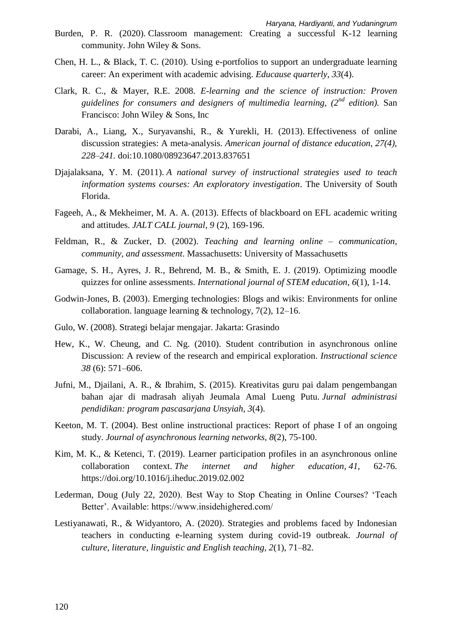- Burden, P. R. (2020). Classroom management: Creating a successful K-12 learning community. John Wiley & Sons.
- Chen, H. L., & Black, T. C. (2010). Using e-portfolios to support an undergraduate learning career: An experiment with academic advising. *Educause quarterly*, *33*(4).
- Clark, R. C., & Mayer, R.E. 2008. *E-learning and the science of instruction: Proven guidelines for consumers and designers of multimedia learning, (2nd edition).* San Francisco: John Wiley & Sons, Inc
- Darabi, A., Liang, X., Suryavanshi, R., & Yurekli, H. (2013). Effectiveness of online discussion strategies: A meta-analysis. *American journal of distance education, 27(4), 228–241.* doi:10.1080/08923647.2013.837651
- Djajalaksana, Y. M. (2011). *A national survey of instructional strategies used to teach information systems courses: An exploratory investigation*. The University of South Florida.
- Fageeh, A., & Mekheimer, M. A. A. (2013). Effects of blackboard on EFL academic writing and attitudes. *JALT CALL journal, 9* (2), 169-196.
- Feldman, R., & Zucker, D. (2002). *Teaching and learning online – communication, community, and assessment*. Massachusetts: University of Massachusetts
- Gamage, S. H., Ayres, J. R., Behrend, M. B., & Smith, E. J. (2019). Optimizing moodle quizzes for online assessments. *International journal of STEM education*, *6*(1), 1-14.
- Godwin-Jones, B. (2003). Emerging technologies: Blogs and wikis: Environments for online collaboration. language learning & technology, 7(2), 12–16.
- Gulo, W. (2008). Strategi belajar mengajar. Jakarta: Grasindo
- Hew, K., W. Cheung, and C. Ng. (2010). Student contribution in asynchronous online Discussion: A review of the research and empirical exploration. *Instructional science 38* (6): 571–606.
- Jufni, M., Djailani, A. R., & Ibrahim, S. (2015). Kreativitas guru pai dalam pengembangan bahan ajar di madrasah aliyah Jeumala Amal Lueng Putu. *Jurnal administrasi pendidikan: program pascasarjana Unsyiah*, *3*(4).
- Keeton, M. T. (2004). Best online instructional practices: Report of phase I of an ongoing study. *Journal of asynchronous learning networks*, *8*(2), 75-100.
- Kim, M. K., & Ketenci, T. (2019). Learner participation profiles in an asynchronous online collaboration context. *The internet and higher education*, *41*, 62-76. <https://doi.org/10.1016/j.iheduc.2019.02.002>
- Lederman, Doug (July 22, 2020). Best Way to Stop Cheating in Online Courses? 'Teach Better'. Available: https://www.insidehighered.com/
- Lestiyanawati, R., & Widyantoro, A. (2020). Strategies and problems faced by Indonesian teachers in conducting e-learning system during covid-19 outbreak. *Journal of culture, literature, linguistic and English teaching, 2*(1), 71–82.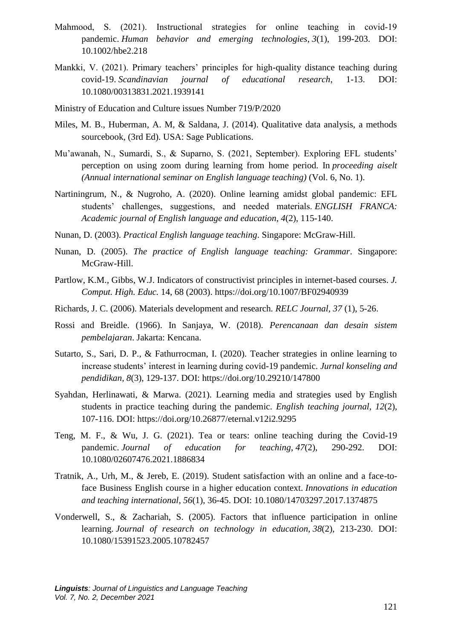- Mahmood, S. (2021). Instructional strategies for online teaching in covid-19 pandemic. *Human behavior and emerging technologies*, *3*(1), 199-203. DOI: 10.1002/hbe2.218
- Mankki, V. (2021). Primary teachers' principles for high-quality distance teaching during covid-19. *Scandinavian journal of educational research*, 1-13. DOI: 10.1080/00313831.2021.1939141
- Ministry of Education and Culture issues Number 719/P/2020
- Miles, M. B., Huberman, A. M, & Saldana, J. (2014). Qualitative data analysis, a methods sourcebook, (3rd Ed). USA: Sage Publications.
- Mu'awanah, N., Sumardi, S., & Suparno, S. (2021, September). Exploring EFL students' perception on using zoom during learning from home period. In *proceeding aiselt (Annual international seminar on English language teaching)* (Vol. 6, No. 1).
- Nartiningrum, N., & Nugroho, A. (2020). Online learning amidst global pandemic: EFL students' challenges, suggestions, and needed materials. *ENGLISH FRANCA: Academic journal of English language and education*, *4*(2), 115-140.
- Nunan, D. (2003). *Practical English language teaching*. Singapore: McGraw-Hill.
- Nunan, D. (2005). *The practice of English language teaching: Grammar*. Singapore: McGraw-Hill.
- Partlow, K.M., Gibbs, W.J. Indicators of constructivist principles in internet-based courses. *J. Comput. High. Educ.* 14, 68 (2003). https://doi.org/10.1007/BF02940939
- Richards, J. C. (2006). Materials development and research. *RELC Journal, 37* (1), 5-26.
- Rossi and Breidle. (1966). In Sanjaya, W. (2018). *Perencanaan dan desain sistem pembelajaran*. Jakarta: Kencana.
- Sutarto, S., Sari, D. P., & Fathurrocman, I. (2020). Teacher strategies in online learning to increase students' interest in learning during covid-19 pandemic. *Jurnal konseling and pendidikan, 8*(3), 129-137. DOI:<https://doi.org/10.29210/147800>
- Syahdan, Herlinawati, & Marwa. (2021). Learning media and strategies used by English students in practice teaching during the pandemic. *English teaching journal, 12*(2), 107-116. DOI:<https://doi.org/10.26877/eternal.v12i2.9295>
- Teng, M. F., & Wu, J. G. (2021). Tea or tears: online teaching during the Covid-19 pandemic. *Journal of education for teaching*, *47*(2), 290-292. DOI: 10.1080/02607476.2021.1886834
- Tratnik, A., Urh, M., & Jereb, E. (2019). Student satisfaction with an online and a face-toface Business English course in a higher education context. *Innovations in education and teaching international*, *56*(1), 36-45. DOI: [10.1080/14703297.2017.1374875](https://doi.org/10.1080/14703297.2017.1374875)
- Vonderwell, S., & Zachariah, S. (2005). Factors that influence participation in online learning. *Journal of research on technology in education*, *38*(2), 213-230. DOI: [10.1080/15391523.2005.10782457](https://doi.org/10.1080/15391523.2005.10782457)